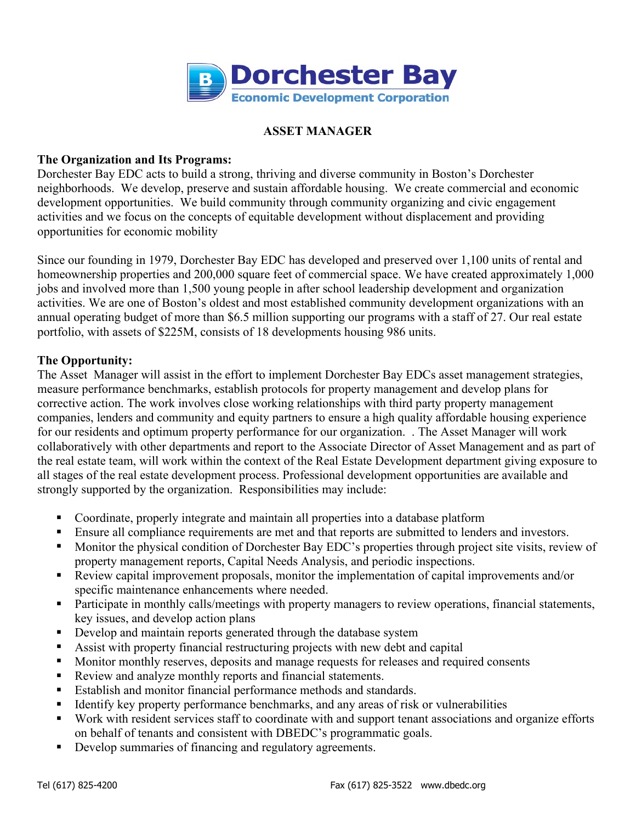

# **ASSET MANAGER**

### **The Organization and Its Programs:**

Dorchester Bay EDC acts to build a strong, thriving and diverse community in Boston's Dorchester neighborhoods. We develop, preserve and sustain affordable housing. We create commercial and economic development opportunities. We build community through community organizing and civic engagement activities and we focus on the concepts of equitable development without displacement and providing opportunities for economic mobility

Since our founding in 1979, Dorchester Bay EDC has developed and preserved over 1,100 units of rental and homeownership properties and 200,000 square feet of commercial space. We have created approximately 1,000 jobs and involved more than 1,500 young people in after school leadership development and organization activities. We are one of Boston's oldest and most established community development organizations with an annual operating budget of more than \$6.5 million supporting our programs with a staff of 27. Our real estate portfolio, with assets of \$225M, consists of 18 developments housing 986 units.

# **The Opportunity:**

The Asset Manager will assist in the effort to implement Dorchester Bay EDCs asset management strategies, measure performance benchmarks, establish protocols for property management and develop plans for corrective action. The work involves close working relationships with third party property management companies, lenders and community and equity partners to ensure a high quality affordable housing experience for our residents and optimum property performance for our organization. . The Asset Manager will work collaboratively with other departments and report to the Associate Director of Asset Management and as part of the real estate team, will work within the context of the Real Estate Development department giving exposure to all stages of the real estate development process. Professional development opportunities are available and strongly supported by the organization. Responsibilities may include:

- Coordinate, properly integrate and maintain all properties into a database platform
- Ensure all compliance requirements are met and that reports are submitted to lenders and investors.
- Monitor the physical condition of Dorchester Bay EDC's properties through project site visits, review of property management reports, Capital Needs Analysis, and periodic inspections.
- Review capital improvement proposals, monitor the implementation of capital improvements and/or specific maintenance enhancements where needed.
- Participate in monthly calls/meetings with property managers to review operations, financial statements, key issues, and develop action plans
- Develop and maintain reports generated through the database system
- Assist with property financial restructuring projects with new debt and capital
- Monitor monthly reserves, deposits and manage requests for releases and required consents
- Review and analyze monthly reports and financial statements.
- Establish and monitor financial performance methods and standards.
- Identify key property performance benchmarks, and any areas of risk or vulnerabilities
- Work with resident services staff to coordinate with and support tenant associations and organize efforts on behalf of tenants and consistent with DBEDC's programmatic goals.
- Develop summaries of financing and regulatory agreements.